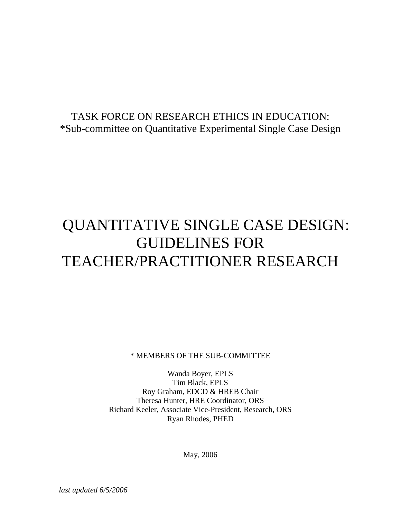# TASK FORCE ON RESEARCH ETHICS IN EDUCATION: \*Sub-committee on Quantitative Experimental Single Case Design

# QUANTITATIVE SINGLE CASE DESIGN: GUIDELINES FOR TEACHER/PRACTITIONER RESEARCH

\* MEMBERS OF THE SUB-COMMITTEE

Wanda Boyer, EPLS Tim Black, EPLS Roy Graham, EDCD & HREB Chair Theresa Hunter, HRE Coordinator, ORS Richard Keeler, Associate Vice-President, Research, ORS Ryan Rhodes, PHED

May, 2006

*last updated 6/5/2006*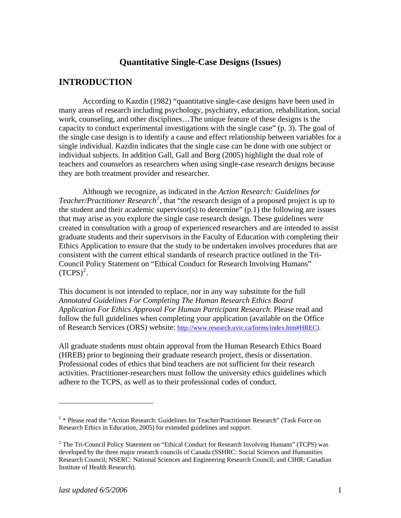## **Quantitative Single-Case Designs (Issues)**

## **INTRODUCTION**

According to Kazdin (1982) "quantitative single-case designs have been used in many areas of research including psychology, psychiatry, education, rehabilitation, social work, counseling, and other disciplines…The unique feature of these designs is the capacity to conduct experimental investigations with the single case" (p. 3). The goal of the single case design is to identify a cause and effect relationship between variables for a single individual. Kazdin indicates that the single case can be done with one subject or individual subjects. In addition Gall, Gall and Borg (2005) highlight the dual role of teachers and counselors as researchers when using single-case research designs because they are both treatment provider and researcher.

 Although we recognize, as indicated in the *Action Research: Guidelines for Teacher/Practitioner Research[1](#page-1-0)* , that "the research design of a proposed project is up to the student and their academic supervisor(s) to determine"  $(p,1)$  the following are issues that may arise as you explore the single case research design. These guidelines were created in consultation with a group of experienced researchers and are intended to assist graduate students and their supervisors in the Faculty of Education with completing their Ethics Application to ensure that the study to be undertaken involves procedures that are consistent with the current ethical standards of research practice outlined in the Tri-Council Policy Statement on "Ethical Conduct for Research Involving Humans"  $(TCPS)^2$  $(TCPS)^2$ .

This document is not intended to replace, nor in any way substitute for the full *Annotated Guidelines For Completing The Human Research Ethics Board Application For Ethics Approval For Human Participant Research*. Please read and follow the full guidelines when completing your application (available on the Office of Research Services (ORS) website:<http://www.research.uvic.ca/forms/index.htm#HREC>).

All graduate students must obtain approval from the Human Research Ethics Board (HREB) prior to beginning their graduate research project, thesis or dissertation. Professional codes of ethics that bind teachers are not sufficient for their research activities. Practitioner-researchers must follow the university ethics guidelines which adhere to the TCPS, as well as to their professional codes of conduct.

 $\overline{a}$ 

<span id="page-1-0"></span><sup>&</sup>lt;sup>1</sup> \* Please read the "Action Research: Guidelines for Teacher/Practitioner Research" (Task Force on Research Ethics in Education, 2005) for extended guidelines and support.

<span id="page-1-1"></span><sup>&</sup>lt;sup>2</sup> The Tri-Council Policy Statement on "Ethical Conduct for Research Involving Humans" (TCPS) was developed by the three major research councils of Canada (SSHRC: Social Sciences and Humanities Research Council; NSERC: National Sciences and Engineering Research Council; and CIHR: Canadian Institute of Health Research).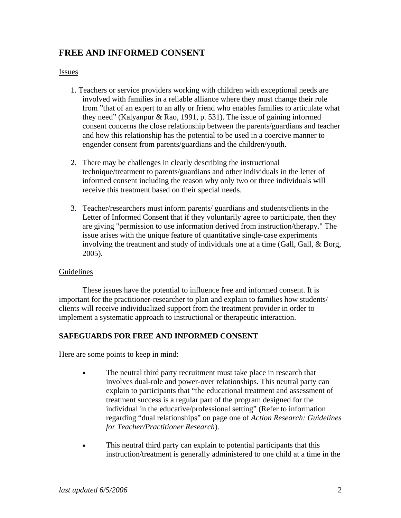# **FREE AND INFORMED CONSENT**

#### Issues

- 1. Teachers or service providers working with children with exceptional needs are involved with families in a reliable alliance where they must change their role from "that of an expert to an ally or friend who enables families to articulate what they need" (Kalyanpur & Rao, 1991, p. 531). The issue of gaining informed consent concerns the close relationship between the parents/guardians and teacher and how this relationship has the potential to be used in a coercive manner to engender consent from parents/guardians and the children/youth.
- 2. There may be challenges in clearly describing the instructional technique/treatment to parents/guardians and other individuals in the letter of informed consent including the reason why only two or three individuals will receive this treatment based on their special needs.
- 3. Teacher/researchers must inform parents/ guardians and students/clients in the Letter of Informed Consent that if they voluntarily agree to participate, then they are giving "permission to use information derived from instruction/therapy." The issue arises with the unique feature of quantitative single-case experiments involving the treatment and study of individuals one at a time (Gall, Gall, & Borg, 2005).

#### Guidelines

These issues have the potential to influence free and informed consent. It is important for the practitioner-researcher to plan and explain to families how students/ clients will receive individualized support from the treatment provider in order to implement a systematic approach to instructional or therapeutic interaction.

#### **SAFEGUARDS FOR FREE AND INFORMED CONSENT**

Here are some points to keep in mind:

- The neutral third party recruitment must take place in research that involves dual-role and power-over relationships. This neutral party can explain to participants that "the educational treatment and assessment of treatment success is a regular part of the program designed for the individual in the educative/professional setting" (Refer to information regarding "dual relationships" on page one of *Action Research: Guidelines for Teacher/Practitioner Research*).
- This neutral third party can explain to potential participants that this instruction/treatment is generally administered to one child at a time in the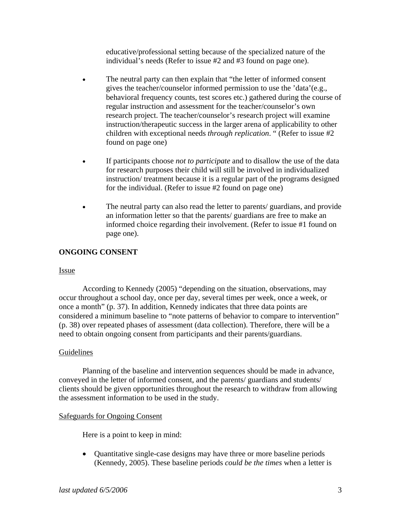educative/professional setting because of the specialized nature of the individual's needs (Refer to issue #2 and #3 found on page one).

- The neutral party can then explain that "the letter of informed consent gives the teacher/counselor informed permission to use the 'data'(e.g., behavioral frequency counts, test scores etc.) gathered during the course of regular instruction and assessment for the teacher/counselor's own research project. The teacher/counselor's research project will examine instruction/therapeutic success in the larger arena of applicability to other children with exceptional needs *through replication*. " (Refer to issue #2 found on page one)
- If participants choose *not to participate* and to disallow the use of the data for research purposes their child will still be involved in individualized instruction/ treatment because it is a regular part of the programs designed for the individual. (Refer to issue #2 found on page one)
- The neutral party can also read the letter to parents/ guardians, and provide an information letter so that the parents/ guardians are free to make an informed choice regarding their involvement. (Refer to issue #1 found on page one).

#### **ONGOING CONSENT**

#### Issue

According to Kennedy (2005) "depending on the situation, observations, may occur throughout a school day, once per day, several times per week, once a week, or once a month" (p. 37). In addition, Kennedy indicates that three data points are considered a minimum baseline to "note patterns of behavior to compare to intervention" (p. 38) over repeated phases of assessment (data collection). Therefore, there will be a need to obtain ongoing consent from participants and their parents/guardians.

#### Guidelines

Planning of the baseline and intervention sequences should be made in advance, conveyed in the letter of informed consent, and the parents/ guardians and students/ clients should be given opportunities throughout the research to withdraw from allowing the assessment information to be used in the study.

#### Safeguards for Ongoing Consent

Here is a point to keep in mind:

• Quantitative single-case designs may have three or more baseline periods (Kennedy, 2005). These baseline periods *could be the times* when a letter is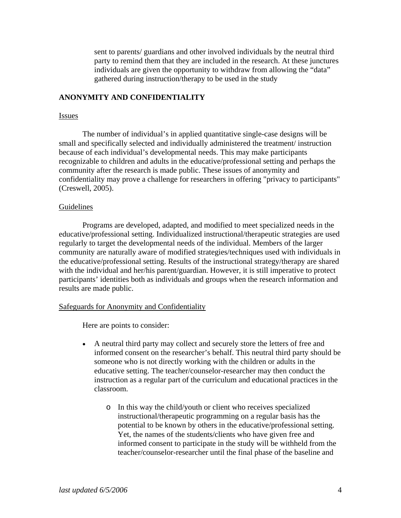sent to parents/ guardians and other involved individuals by the neutral third party to remind them that they are included in the research. At these junctures individuals are given the opportunity to withdraw from allowing the "data" gathered during instruction/therapy to be used in the study

#### **ANONYMITY AND CONFIDENTIALITY**

#### Issues

The number of individual's in applied quantitative single-case designs will be small and specifically selected and individually administered the treatment/ instruction because of each individual's developmental needs. This may make participants recognizable to children and adults in the educative/professional setting and perhaps the community after the research is made public. These issues of anonymity and confidentiality may prove a challenge for researchers in offering "privacy to participants" (Creswell, 2005).

#### Guidelines

Programs are developed, adapted, and modified to meet specialized needs in the educative/professional setting. Individualized instructional/therapeutic strategies are used regularly to target the developmental needs of the individual. Members of the larger community are naturally aware of modified strategies/techniques used with individuals in the educative/professional setting. Results of the instructional strategy/therapy are shared with the individual and her/his parent/guardian. However, it is still imperative to protect participants' identities both as individuals and groups when the research information and results are made public.

#### Safeguards for Anonymity and Confidentiality

Here are points to consider:

- A neutral third party may collect and securely store the letters of free and informed consent on the researcher's behalf. This neutral third party should be someone who is not directly working with the children or adults in the educative setting. The teacher/counselor-researcher may then conduct the instruction as a regular part of the curriculum and educational practices in the classroom.
	- o In this way the child/youth or client who receives specialized instructional/therapeutic programming on a regular basis has the potential to be known by others in the educative/professional setting. Yet, the names of the students/clients who have given free and informed consent to participate in the study will be withheld from the teacher/counselor-researcher until the final phase of the baseline and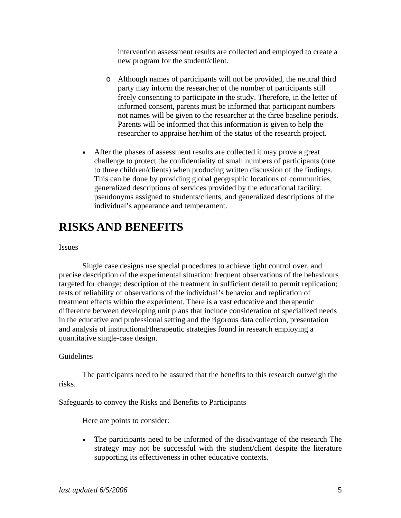intervention assessment results are collected and employed to create a new program for the student/client.

- o Although names of participants will not be provided, the neutral third party may inform the researcher of the number of participants still freely consenting to participate in the study. Therefore, in the letter of informed consent, parents must be informed that participant numbers not names will be given to the researcher at the three baseline periods. Parents will be informed that this information is given to help the researcher to appraise her/him of the status of the research project.
- After the phases of assessment results are collected it may prove a great challenge to protect the confidentiality of small numbers of participants (one to three children/clients) when producing written discussion of the findings. This can be done by providing global geographic locations of communities, generalized descriptions of services provided by the educational facility, pseudonyms assigned to students/clients, and generalized descriptions of the individual's appearance and temperament.

# **RISKS AND BENEFITS**

#### Issues

Single case designs use special procedures to achieve tight control over, and precise description of the experimental situation: frequent observations of the behaviours targeted for change; description of the treatment in sufficient detail to permit replication; tests of reliability of observations of the individual's behavior and replication of treatment effects within the experiment. There is a vast educative and therapeutic difference between developing unit plans that include consideration of specialized needs in the educative and professional setting and the rigorous data collection, presentation and analysis of instructional/therapeutic strategies found in research employing a quantitative single-case design.

#### Guidelines

The participants need to be assured that the benefits to this research outweigh the risks.

#### Safeguards to convey the Risks and Benefits to Participants

Here are points to consider:

• The participants need to be informed of the disadvantage of the research The strategy may not be successful with the student/client despite the literature supporting its effectiveness in other educative contexts.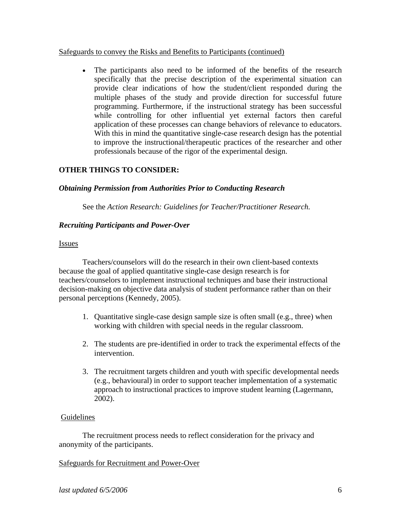#### Safeguards to convey the Risks and Benefits to Participants (continued)

• The participants also need to be informed of the benefits of the research specifically that the precise description of the experimental situation can provide clear indications of how the student/client responded during the multiple phases of the study and provide direction for successful future programming. Furthermore, if the instructional strategy has been successful while controlling for other influential yet external factors then careful application of these processes can change behaviors of relevance to educators. With this in mind the quantitative single-case research design has the potential to improve the instructional/therapeutic practices of the researcher and other professionals because of the rigor of the experimental design.

#### **OTHER THINGS TO CONSIDER:**

#### *Obtaining Permission from Authorities Prior to Conducting Research*

See the *Action Research: Guidelines for Teacher/Practitioner Research.*

#### *Recruiting Participants and Power-Over*

#### Issues

 Teachers/counselors will do the research in their own client-based contexts because the goal of applied quantitative single-case design research is for teachers/counselors to implement instructional techniques and base their instructional decision-making on objective data analysis of student performance rather than on their personal perceptions (Kennedy, 2005).

- 1. Quantitative single-case design sample size is often small (e.g., three) when working with children with special needs in the regular classroom.
- 2. The students are pre-identified in order to track the experimental effects of the intervention.
- 3. The recruitment targets children and youth with specific developmental needs (e.g., behavioural) in order to support teacher implementation of a systematic approach to instructional practices to improve student learning (Lagermann, 2002).

#### Guidelines

The recruitment process needs to reflect consideration for the privacy and anonymity of the participants.

#### Safeguards for Recruitment and Power-Over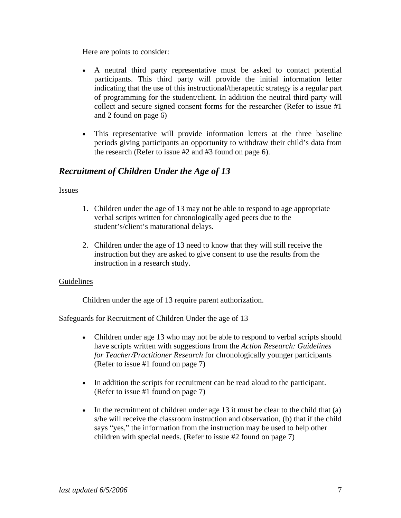Here are points to consider:

- A neutral third party representative must be asked to contact potential participants. This third party will provide the initial information letter indicating that the use of this instructional/therapeutic strategy is a regular part of programming for the student/client. In addition the neutral third party will collect and secure signed consent forms for the researcher (Refer to issue #1 and 2 found on page 6)
- This representative will provide information letters at the three baseline periods giving participants an opportunity to withdraw their child's data from the research (Refer to issue #2 and #3 found on page 6).

# *Recruitment of Children Under the Age of 13*

#### Issues

- 1. Children under the age of 13 may not be able to respond to age appropriate verbal scripts written for chronologically aged peers due to the student's/client's maturational delays.
- 2. Children under the age of 13 need to know that they will still receive the instruction but they are asked to give consent to use the results from the instruction in a research study.

#### Guidelines

Children under the age of 13 require parent authorization.

#### Safeguards for Recruitment of Children Under the age of 13

- Children under age 13 who may not be able to respond to verbal scripts should have scripts written with suggestions from the *Action Research: Guidelines for Teacher/Practitioner Research* for chronologically younger participants (Refer to issue #1 found on page 7)
- In addition the scripts for recruitment can be read aloud to the participant. (Refer to issue #1 found on page 7)
- In the recruitment of children under age 13 it must be clear to the child that (a) s/he will receive the classroom instruction and observation, (b) that if the child says "yes," the information from the instruction may be used to help other children with special needs. (Refer to issue #2 found on page 7)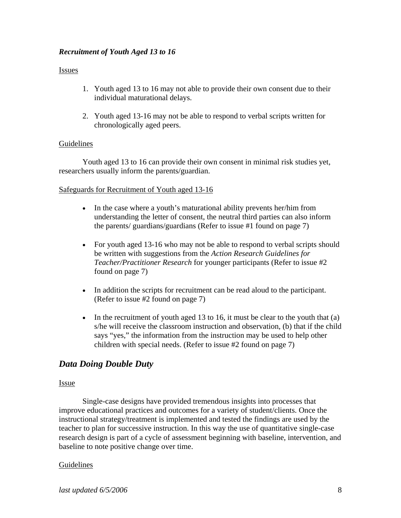#### *Recruitment of Youth Aged 13 to 16*

#### Issues

- 1. Youth aged 13 to 16 may not able to provide their own consent due to their individual maturational delays.
- 2. Youth aged 13-16 may not be able to respond to verbal scripts written for chronologically aged peers.

#### **Guidelines**

Youth aged 13 to 16 can provide their own consent in minimal risk studies yet, researchers usually inform the parents/guardian.

#### Safeguards for Recruitment of Youth aged 13-16

- In the case where a youth's maturational ability prevents her/him from understanding the letter of consent, the neutral third parties can also inform the parents/ guardians/guardians (Refer to issue #1 found on page 7)
- For youth aged 13-16 who may not be able to respond to verbal scripts should be written with suggestions from the *Action Research Guidelines for Teacher/Practitioner Research* for younger participants (Refer to issue #2 found on page 7)
- In addition the scripts for recruitment can be read aloud to the participant. (Refer to issue #2 found on page 7)
- In the recruitment of youth aged 13 to 16, it must be clear to the youth that  $(a)$ s/he will receive the classroom instruction and observation, (b) that if the child says "yes," the information from the instruction may be used to help other children with special needs. (Refer to issue #2 found on page 7)

# *Data Doing Double Duty*

#### Issue

Single-case designs have provided tremendous insights into processes that improve educational practices and outcomes for a variety of student/clients. Once the instructional strategy/treatment is implemented and tested the findings are used by the teacher to plan for successive instruction. In this way the use of quantitative single-case research design is part of a cycle of assessment beginning with baseline, intervention, and baseline to note positive change over time.

#### Guidelines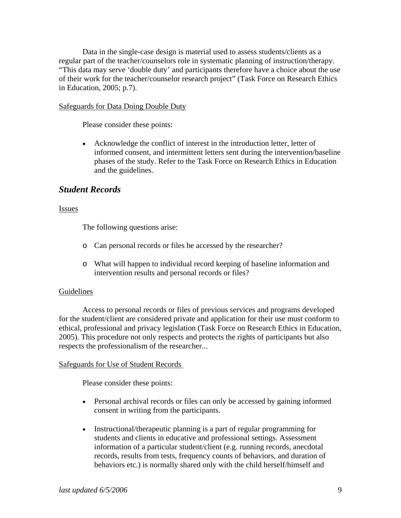Data in the single-case design is material used to assess students/clients as a regular part of the teacher/counselors role in systematic planning of instruction/therapy. "This data may serve 'double duty' and participants therefore have a choice about the use of their work for the teacher/counselor research project" (Task Force on Research Ethics in Education, 2005; p.7).

#### Safeguards for Data Doing Double Duty

Please consider these points:

• Acknowledge the conflict of interest in the introduction letter, letter of informed consent, and intermittent letters sent during the intervention/baseline phases of the study. Refer to the Task Force on Research Ethics in Education and the guidelines.

### *Student Records*

#### Issues

The following questions arise:

- o Can personal records or files be accessed by the researcher?
- o What will happen to individual record keeping of baseline information and intervention results and personal records or files?

#### Guidelines

Access to personal records or files of previous services and programs developed for the student/client are considered private and application for their use must conform to ethical, professional and privacy legislation (Task Force on Research Ethics in Education, 2005). This procedure not only respects and protects the rights of participants but also respects the professionalism of the researcher...

#### Safeguards for Use of Student Records

Please consider these points:

- Personal archival records or files can only be accessed by gaining informed consent in writing from the participants.
- Instructional/therapeutic planning is a part of regular programming for students and clients in educative and professional settings. Assessment information of a particular student/client (e.g. running records, anecdotal records, results from tests, frequency counts of behaviors, and duration of behaviors etc.) is normally shared only with the child herself/himself and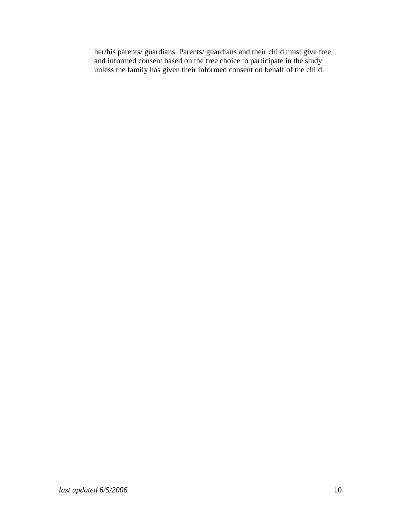her/his parents/ guardians. Parents/ guardians and their child must give free and informed consent based on the free choice to participate in the study unless the family has given their informed consent on behalf of the child.